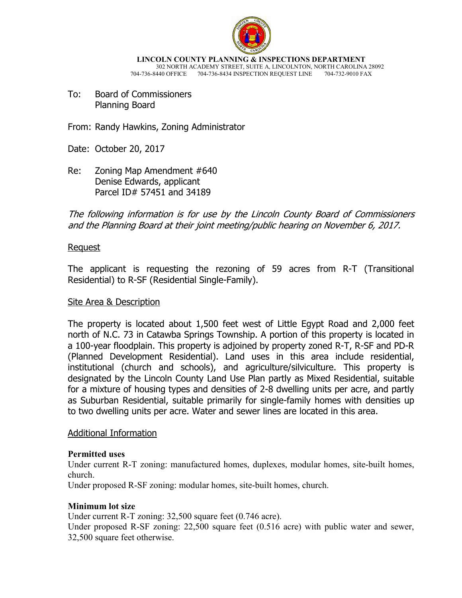

**LINCOLN COUNTY PLANNING & INSPECTIONS DEPARTMENT** 302 NORTH ACADEMY STREET, SUITE A, LINCOLNTON, NORTH CAROLINA 28092 704-736-8440 OFFICE 704-736-8434 INSPECTION REQUEST LINE

To: Board of Commissioners Planning Board

From: Randy Hawkins, Zoning Administrator

Date: October 20, 2017

Re: Zoning Map Amendment #640 Denise Edwards, applicant Parcel ID# 57451 and 34189

The following information is for use by the Lincoln County Board of Commissioners and the Planning Board at their joint meeting/public hearing on November 6, 2017.

#### Request

The applicant is requesting the rezoning of 59 acres from R-T (Transitional Residential) to R-SF (Residential Single-Family).

#### Site Area & Description

The property is located about 1,500 feet west of Little Egypt Road and 2,000 feet north of N.C. 73 in Catawba Springs Township. A portion of this property is located in a 100-year floodplain. This property is adjoined by property zoned R-T, R-SF and PD-R (Planned Development Residential). Land uses in this area include residential, institutional (church and schools), and agriculture/silviculture. This property is designated by the Lincoln County Land Use Plan partly as Mixed Residential, suitable for a mixture of housing types and densities of 2-8 dwelling units per acre, and partly as Suburban Residential, suitable primarily for single-family homes with densities up to two dwelling units per acre. Water and sewer lines are located in this area.

#### Additional Information

#### **Permitted uses**

Under current R-T zoning: manufactured homes, duplexes, modular homes, site-built homes, church.

Under proposed R-SF zoning: modular homes, site-built homes, church.

#### **Minimum lot size**

Under current R-T zoning: 32,500 square feet (0.746 acre).

Under proposed R-SF zoning: 22,500 square feet (0.516 acre) with public water and sewer, 32,500 square feet otherwise.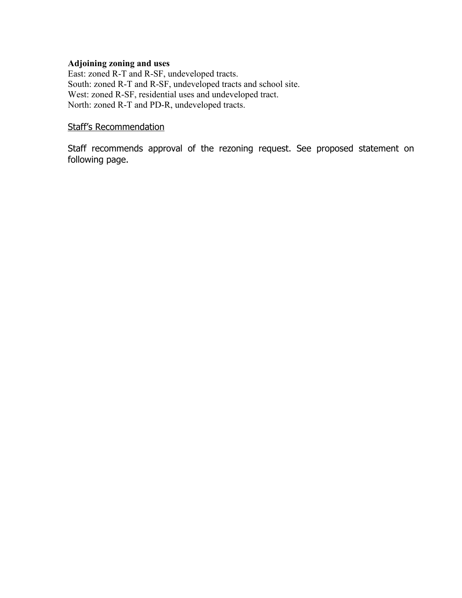## **Adjoining zoning and uses**

East: zoned R-T and R-SF, undeveloped tracts. South: zoned R-T and R-SF, undeveloped tracts and school site. West: zoned R-SF, residential uses and undeveloped tract. North: zoned R-T and PD-R, undeveloped tracts.

## Staff's Recommendation

Staff recommends approval of the rezoning request. See proposed statement on following page.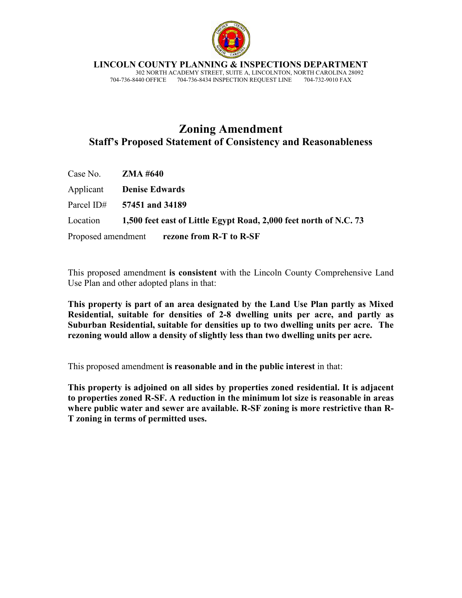

**LINCOLN COUNTY PLANNING & INSPECTIONS DEPARTMENT**

 302 NORTH ACADEMY STREET, SUITE A, LINCOLNTON, NORTH CAROLINA 28092 704-736-8440 OFFICE 704-736-8434 INSPECTION REQUEST LINE 704-732-9010 FAX

# **Zoning Amendment Staff's Proposed Statement of Consistency and Reasonableness**

| Case No. $ZMA #640$ |                                                                            |
|---------------------|----------------------------------------------------------------------------|
|                     | <b>Applicant Denise Edwards</b>                                            |
|                     | Parcel ID# $57451$ and 34189                                               |
|                     | Location 1,500 feet east of Little Egypt Road, 2,000 feet north of N.C. 73 |
|                     | Proposed amendment rezone from R-T to R-SF                                 |

This proposed amendment **is consistent** with the Lincoln County Comprehensive Land Use Plan and other adopted plans in that:

**This property is part of an area designated by the Land Use Plan partly as Mixed Residential, suitable for densities of 2-8 dwelling units per acre, and partly as Suburban Residential, suitable for densities up to two dwelling units per acre. The rezoning would allow a density of slightly less than two dwelling units per acre.** 

This proposed amendment **is reasonable and in the public interest** in that:

**This property is adjoined on all sides by properties zoned residential. It is adjacent to properties zoned R-SF. A reduction in the minimum lot size is reasonable in areas where public water and sewer are available. R-SF zoning is more restrictive than R-T zoning in terms of permitted uses.**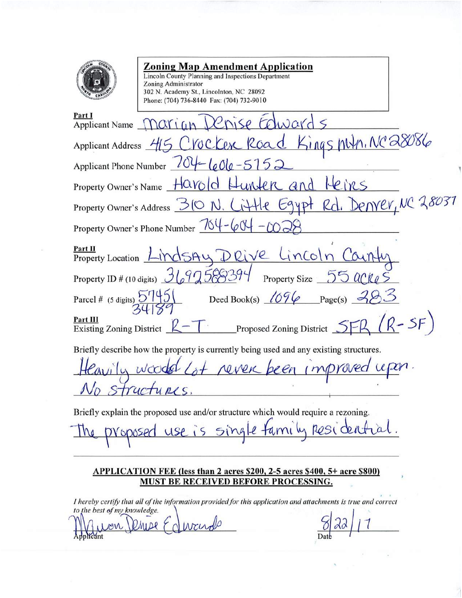

## **Zoning Map Amendment Application**

Lincoln County Planning and Inspections Department **Zoning Administrator** 302 N. Academy St., Lincolnton, NC 28092 Phone: (704) 736-8440 Fax: (704) 732-9010

| Part I<br>Applicant Name Marian Denise Colwards                                        |  |
|----------------------------------------------------------------------------------------|--|
| Applicant Address 415 CVOCKER Road Kings Myn, NC28086                                  |  |
| Applicant Phone Number 704-601e-5152                                                   |  |
| Property Owner's Name Harold Hunter and Heirs                                          |  |
| Property Owner's Address 310 N. Little Egypt Rd. Denver, NC 28031                      |  |
| Property Owner's Phone Number $\frac{764}{694}$ – $(0)$                                |  |
| Property Location LindsAy DRive LinColn County                                         |  |
| Property ID # (10 digits) 3697588394 Property Size 55 acke                             |  |
| Parcel # (5 digits) $57145$ Deed Book(s) $1696$ Page(s) $\rightarrow$                  |  |
| Existing Zoning District $R-T$ Proposed Zoning District $SFR (R-SF)$                   |  |
| Briefly describe how the property is currently being used and any existing structures. |  |
| avily wooded Lot never been improved upon.                                             |  |
| ructures.                                                                              |  |

Briefly explain the proposed use and/or structure which would require a rezoning.

amily residen

## APPLICATION FEE (less than 2 acres \$200, 2-5 acres \$400, 5+ acre \$800) **MUST BE RECEIVED BEFORE PROCESSING.**

I hereby certify that all of the information provided for this application and attachments is true and correct to the best of my knowledge.

wards plicant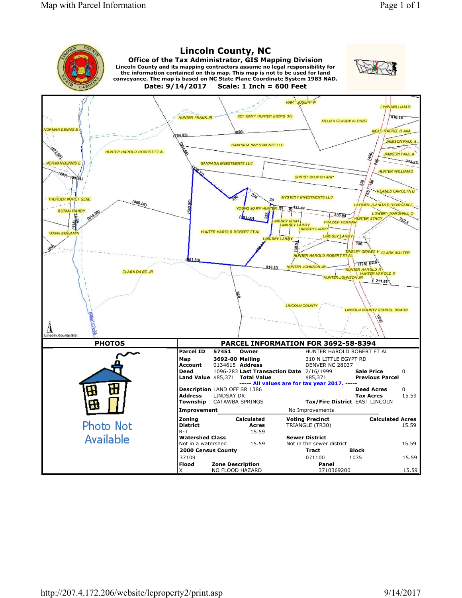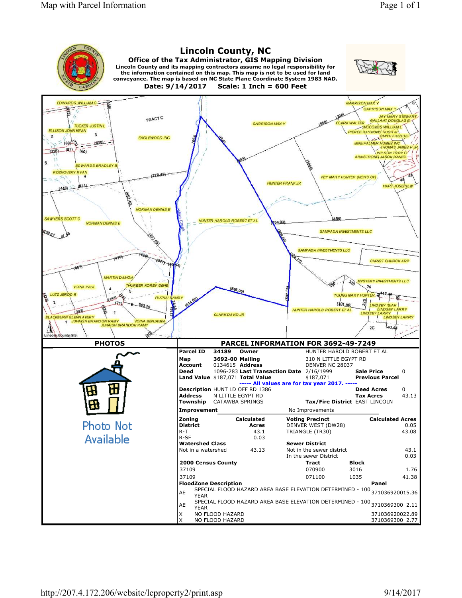